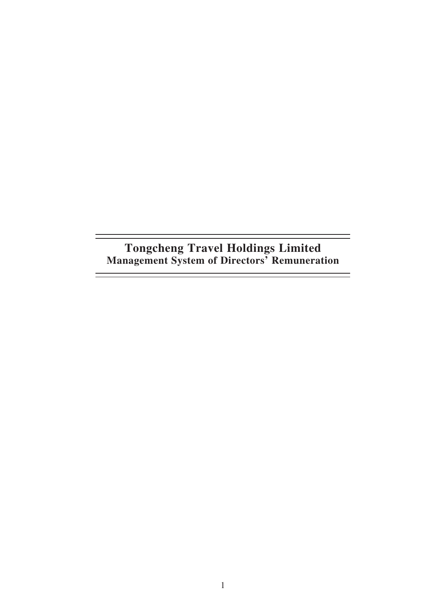**Tongcheng Travel Holdings Limited Management System of Directors' Remuneration**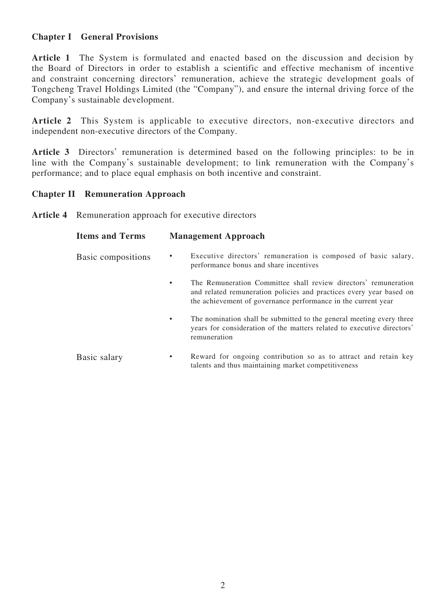## **Chapter I General Provisions**

Article 1 The System is formulated and enacted based on the discussion and decision by the Board of Directors in order to establish a scientific and effective mechanism of incentive and constraint concerning directors' remuneration, achieve the strategic development goals of Tongcheng Travel Holdings Limited (the "Company"), and ensure the internal driving force of the Company's sustainable development.

**Article 2** This System is applicable to executive directors, non-executive directors and independent non-executive directors of the Company.

**Article 3** Directors' remuneration is determined based on the following principles: to be in line with the Company's sustainable development; to link remuneration with the Company's performance; and to place equal emphasis on both incentive and constraint.

## **Chapter II Remuneration Approach**

**Article 4** Remuneration approach for executive directors

| <b>Items and Terms</b> | <b>Management Approach</b>                                                                                                                                                                                   |
|------------------------|--------------------------------------------------------------------------------------------------------------------------------------------------------------------------------------------------------------|
| Basic compositions     | Executive directors' remuneration is composed of basic salary,<br>٠<br>performance bonus and share incentives                                                                                                |
|                        | The Remuneration Committee shall review directors' remuneration<br>٠<br>and related remuneration policies and practices every year based on<br>the achievement of governance performance in the current year |
|                        | The nomination shall be submitted to the general meeting every three<br>٠<br>years for consideration of the matters related to executive directors'<br>remuneration                                          |
| Basic salary           | Reward for ongoing contribution so as to attract and retain key<br>$\bullet$<br>talents and thus maintaining market competitiveness                                                                          |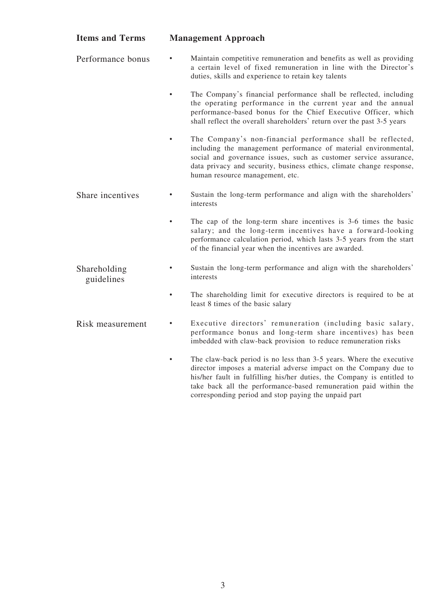| <b>Items and Terms</b>     | <b>Management Approach</b>                                                                                                                                                                                                                                                                                                                    |
|----------------------------|-----------------------------------------------------------------------------------------------------------------------------------------------------------------------------------------------------------------------------------------------------------------------------------------------------------------------------------------------|
| Performance bonus          | Maintain competitive remuneration and benefits as well as providing<br>a certain level of fixed remuneration in line with the Director's<br>duties, skills and experience to retain key talents                                                                                                                                               |
|                            | The Company's financial performance shall be reflected, including<br>the operating performance in the current year and the annual<br>performance-based bonus for the Chief Executive Officer, which<br>shall reflect the overall shareholders' return over the past 3-5 years                                                                 |
|                            | The Company's non-financial performance shall be reflected,<br>$\bullet$<br>including the management performance of material environmental,<br>social and governance issues, such as customer service assurance,<br>data privacy and security, business ethics, climate change response,<br>human resource management, etc.                   |
| Share incentives           | Sustain the long-term performance and align with the shareholders'<br>interests                                                                                                                                                                                                                                                               |
|                            | The cap of the long-term share incentives is 3-6 times the basic<br>salary; and the long-term incentives have a forward-looking<br>performance calculation period, which lasts 3-5 years from the start<br>of the financial year when the incentives are awarded.                                                                             |
| Shareholding<br>guidelines | Sustain the long-term performance and align with the shareholders'<br>interests                                                                                                                                                                                                                                                               |
|                            | The shareholding limit for executive directors is required to be at<br>$\bullet$<br>least 8 times of the basic salary                                                                                                                                                                                                                         |
| Risk measurement           | Executive directors' remuneration (including basic salary,<br>performance bonus and long-term share incentives) has been<br>imbedded with claw-back provision to reduce remuneration risks                                                                                                                                                    |
|                            | The claw-back period is no less than 3-5 years. Where the executive<br>director imposes a material adverse impact on the Company due to<br>his/her fault in fulfilling his/her duties, the Company is entitled to<br>take back all the performance-based remuneration paid within the<br>corresponding period and stop paying the unpaid part |